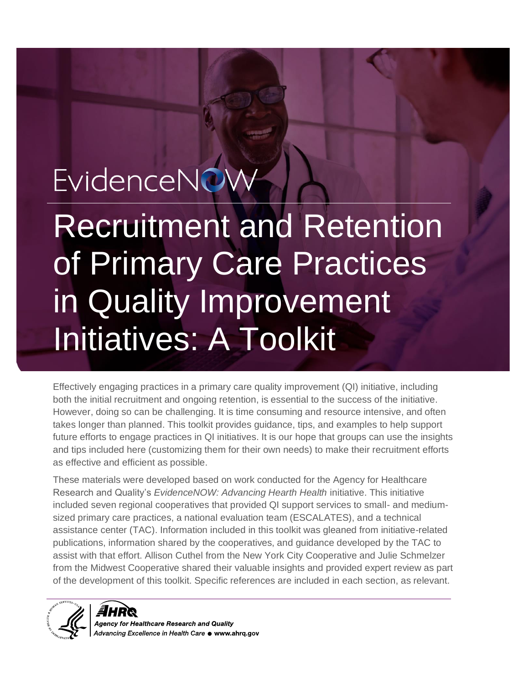# EvidenceNOW

Recruitment and Retention of Primary Care Practices in Quality Improvement Initiatives: A Toolkit

Effectively engaging practices in a primary care quality improvement (QI) initiative, including both the initial recruitment and ongoing retention, is essential to the success of the initiative. However, doing so can be challenging. It is time consuming and resource intensive, and often takes longer than planned. This toolkit provides guidance, tips, and examples to help support future efforts to engage practices in QI initiatives. It is our hope that groups can use the insights and tips included here (customizing them for their own needs) to make their recruitment efforts as effective and efficient as possible.

These materials were developed based on work conducted for the Agency for Healthcare Research and Quality's *EvidenceNOW: Advancing Hearth Health* initiative. This initiative included seven regional cooperatives that provided QI support services to small- and mediumsized primary care practices, a national evaluation team (ESCALATES), and a technical assistance center (TAC). Information included in this toolkit was gleaned from initiative-related publications, information shared by the cooperatives, and guidance developed by the TAC to assist with that effort. Allison Cuthel from the New York City Cooperative and Julie Schmelzer from the Midwest Cooperative shared their valuable insights and provided expert review as part of the development of this toolkit. Specific references are included in each section, as relevant.



gency for Healthcare Research and Quality Advancing Excellence in Health Care  $\bullet$  www.ahrq.gov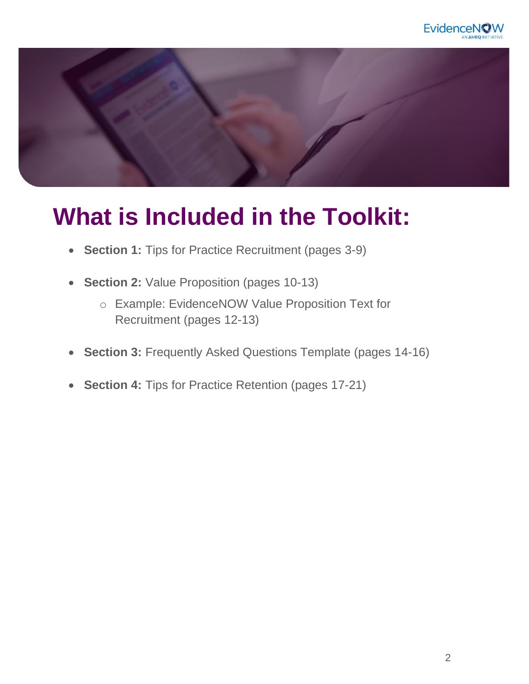



### **What is Included in the Toolkit:**

- **Section 1:** [Tips for Practice Recruitment \(pages 3-9\)](#page-2-0)
- **Section 2:** [Value Proposition \(pages 10-13\)](#page-9-0)
	- o Example: EvidenceNOW Value Proposition Text for [Recruitment \(pages 12-13\)](#page-11-0)
- **Section 3:** [Frequently Asked Questions Template \(pages 14-16\)](#page-13-0)
- **Section 4:** [Tips for Practice Retention \(pages 17-21\)](#page-16-0)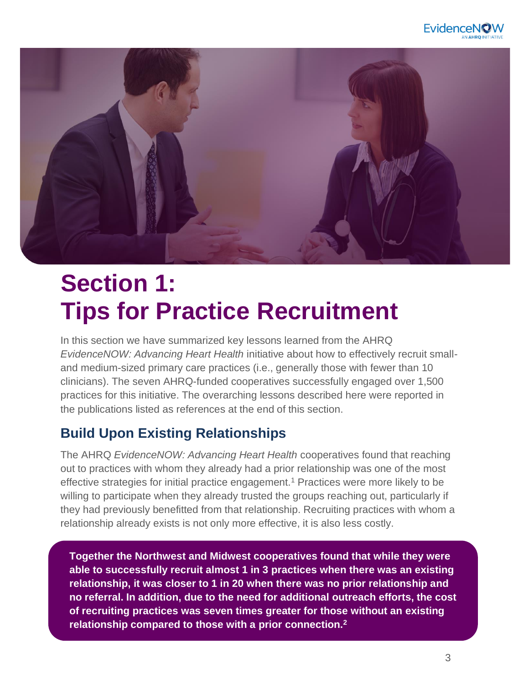### **EvidenceN**

<span id="page-2-0"></span>

### **Section 1: Tips for Practice Recruitment**

In this section we have summarized key lessons learned from the AHRQ *EvidenceNOW: Advancing Heart Health* initiative about how to effectively recruit smalland medium-sized primary care practices (i.e., generally those with fewer than 10 clinicians). The seven AHRQ-funded cooperatives successfully engaged over 1,500 practices for this initiative. The overarching lessons described here were reported in the publications listed as references at the end of this section.

#### **Build Upon Existing Relationships**

The AHRQ *EvidenceNOW: Advancing Heart Health* cooperatives found that reaching out to practices with whom they already had a prior relationship was one of the most effective strategies for initial practice engagement.<sup>1</sup> Practices were more likely to be willing to participate when they already trusted the groups reaching out, particularly if they had previously benefitted from that relationship. Recruiting practices with whom a relationship already exists is not only more effective, it is also less costly.

When already priorities has seen already exist, developing with the contract of the second second trusted with the second second second the second second second second second second second second second second second secon  $r$  relationship compared to those with a prior connection. $\frac{2}{r}$ **Together the Northwest and Midwest cooperatives found that while they were able to successfully recruit almost 1 in 3 practices when there was an existing relationship, it was closer to 1 in 20 when there was no prior relationship and no referral. In addition, due to the need for additional outreach efforts, the cost of recruiting practices was seven times greater for those without an existing** 

practices can help identify other potential practices and make key introductions.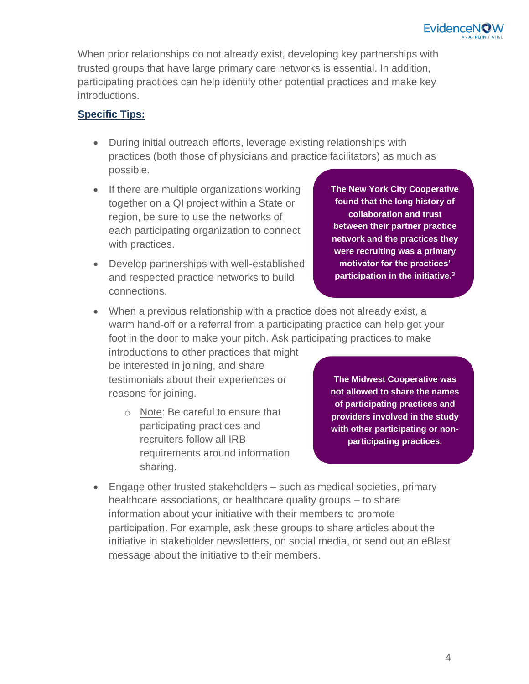When prior relationships do not already exist, developing key partnerships with trusted groups that have large primary care networks is essential. In addition, participating practices can help identify other potential practices and make key introductions.

#### **Specific Tips:**

- During initial outreach efforts, leverage existing relationships with practices (both those of physicians and practice facilitators) as much as possible.
- If there are multiple organizations working together on a QI project within a State or region, be sure to use the networks of each participating organization to connect with practices.
- Develop partnerships with well-established and respected practice networks to build connections.

**The New York City Cooperative found that the long history of collaboration and trust between their partner practice network and the practices they were recruiting was a primary motivator for the practices' participation in the initiative.<sup>3</sup>**

• When a previous relationship with a practice does not already exist, a warm hand-off or a referral from a participating practice can help get your foot in the door to make your pitch. Ask participating practices to make

introductions to other practices that might be interested in joining, and share testimonials about their experiences or reasons for joining.

o Note: Be careful to ensure that participating practices and recruiters follow all IRB requirements around information sharing.

**The Midwest Cooperative was not allowed to share the names of participating practices and providers involved in the study with other participating or nonparticipating practices.**

• Engage other trusted stakeholders – such as medical societies, primary healthcare associations, or healthcare quality groups – to share information about your initiative with their members to promote participation. For example, ask these groups to share articles about the initiative in stakeholder newsletters, on social media, or send out an eBlast message about the initiative to their members.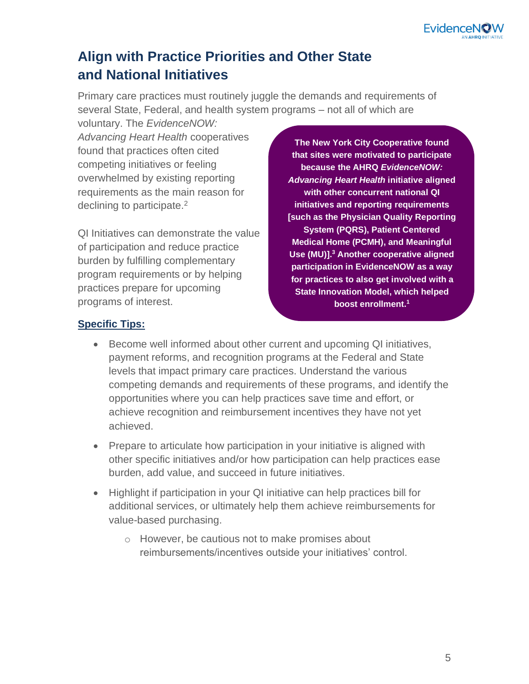### **Align with Practice Priorities and Other State and National Initiatives**

Primary care practices must routinely juggle the demands and requirements of several State, Federal, and health system programs – not all of which are

voluntary. The *EvidenceNOW: Advancing Heart Health* cooperatives found that practices often cited competing initiatives or feeling overwhelmed by existing reporting requirements as the main reason for declining to participate.<sup>2</sup>

QI Initiatives can demonstrate the value of participation and reduce practice burden by fulfilling complementary program requirements or by helping practices prepare for upcoming programs of interest.

**The New York City Cooperative found that sites were motivated to participate because the AHRQ** *EvidenceNOW: Advancing Heart Health* **initiative aligned with other concurrent national QI initiatives and reporting requirements [such as the Physician Quality Reporting System (PQRS), Patient Centered Medical Home (PCMH), and Meaningful Use (MU)].<sup>3</sup> Another cooperative aligned participation in EvidenceNOW as a way for practices to also get involved with a State Innovation Model, which helped boost enrollment.<sup>1</sup>** 

#### **Specific Tips:**

- Become well informed about other current and upcoming QI initiatives, payment reforms, and recognition programs at the Federal and State levels that impact primary care practices. Understand the various competing demands and requirements of these programs, and identify the opportunities where you can help practices save time and effort, or achieve recognition and reimbursement incentives they have not yet achieved.
- Prepare to articulate how participation in your initiative is aligned with other specific initiatives and/or how participation can help practices ease burden, add value, and succeed in future initiatives.
- Highlight if participation in your QI initiative can help practices bill for additional services, or ultimately help them achieve reimbursements for value-based purchasing.
	- o However, be cautious not to make promises about reimbursements/incentives outside your initiatives' control.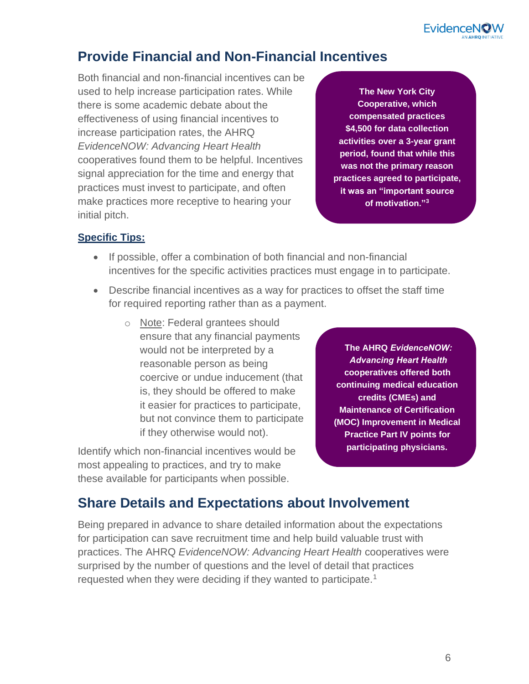**EvidenceN** 

#### **Provide Financial and Non-Financial Incentives**

Both financial and non-financial incentives can be used to help increase participation rates. While there is some academic debate about the effectiveness of using financial incentives to increase participation rates, the AHRQ *EvidenceNOW: Advancing Heart Health* cooperatives found them to be helpful. Incentives signal appreciation for the time and energy that practices must invest to participate, and often make practices more receptive to hearing your initial pitch.

**The New York City Cooperative, which compensated practices \$4,500 for data collection activities over a 3-year grant period, found that while this was not the primary reason practices agreed to participate, it was an "important source of motivation."<sup>3</sup>**

#### **Specific Tips:**

- If possible, offer a combination of both financial and non-financial incentives for the specific activities practices must engage in to participate.
- Describe financial incentives as a way for practices to offset the staff time for required reporting rather than as a payment.
	- o Note: Federal grantees should ensure that any financial payments would not be interpreted by a reasonable person as being coercive or undue inducement (that is, they should be offered to make it easier for practices to participate, but not convince them to participate if they otherwise would not).

Identify which non-financial incentives would be most appealing to practices, and try to make these available for participants when possible.

**The AHRQ** *EvidenceNOW: Advancing Heart Health* **cooperatives offered both continuing medical education credits (CMEs) and Maintenance of Certification (MOC) Improvement in Medical Practice Part IV points for participating physicians.** 

#### **Share Details and Expectations about Involvement**

Being prepared in advance to share detailed information about the expectations for participation can save recruitment time and help build valuable trust with practices. The AHRQ *EvidenceNOW: Advancing Heart Health* cooperatives were surprised by the number of questions and the level of detail that practices requested when they were deciding if they wanted to participate.<sup>1</sup>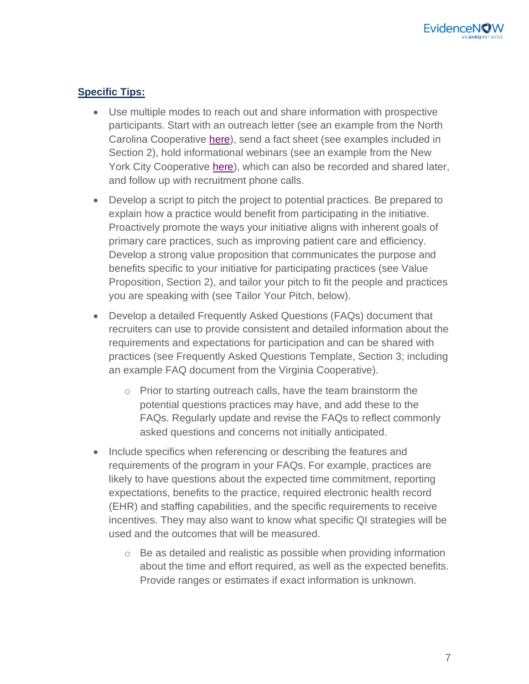#### **Specific Tips:**

- Use multiple modes to reach out and share information with prospective participants. Start with an outreach letter (see an example from the North Carolina Cooperative [here\)](https://www.ahrq.gov/sites/default/files/wysiwyg/evidencenow/results/research/recruitment-letter-nc.pdf), send a fact sheet (see examples included in Section 2), hold informational webinars (see an example from the New York City Cooperative [here\)](https://www.ahrq.gov/sites/default/files/wysiwyg/evidencenow/results/research/recruitment-slides-ny.pdf), which can also be recorded and shared later, and follow up with recruitment phone calls.
- Develop a script to pitch the project to potential practices. Be prepared to explain how a practice would benefit from participating in the initiative. Proactively promote the ways your initiative aligns with inherent goals of primary care practices, such as improving patient care and efficiency. Develop a strong value proposition that communicates the purpose and benefits specific to your initiative for participating practices (see Value Proposition, Section 2), and tailor your pitch to fit the people and practices you are speaking with (see Tailor Your Pitch, below).
- Develop a detailed Frequently Asked Questions (FAQs) document that recruiters can use to provide consistent and detailed information about the requirements and expectations for participation and can be shared with practices (see Frequently Asked Questions Template, Section 3; including an example FAQ document from the Virginia Cooperative).
	- o Prior to starting outreach calls, have the team brainstorm the potential questions practices may have, and add these to the FAQs. Regularly update and revise the FAQs to reflect commonly asked questions and concerns not initially anticipated.
- Include specifics when referencing or describing the features and requirements of the program in your FAQs. For example, practices are likely to have questions about the expected time commitment, reporting expectations, benefits to the practice, required electronic health record (EHR) and staffing capabilities, and the specific requirements to receive incentives. They may also want to know what specific QI strategies will be used and the outcomes that will be measured.
	- o Be as detailed and realistic as possible when providing information about the time and effort required, as well as the expected benefits. Provide ranges or estimates if exact information is unknown.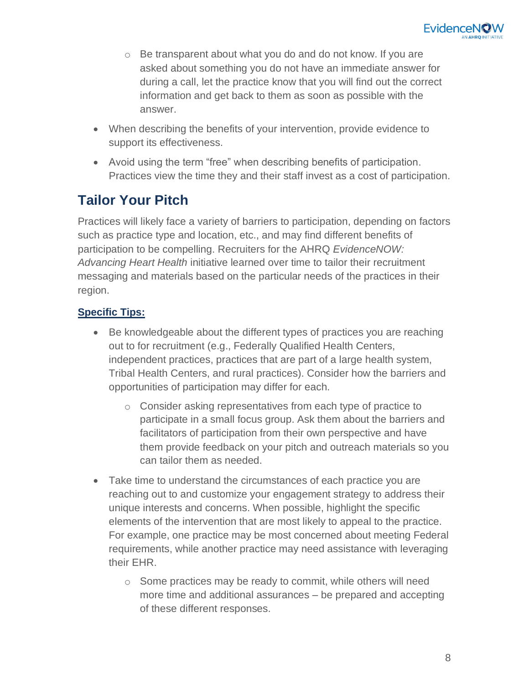

- o Be transparent about what you do and do not know. If you are asked about something you do not have an immediate answer for during a call, let the practice know that you will find out the correct information and get back to them as soon as possible with the answer.
- When describing the benefits of your intervention, provide evidence to support its effectiveness.
- Avoid using the term "free" when describing benefits of participation. Practices view the time they and their staff invest as a cost of participation.

#### **Tailor Your Pitch**

Practices will likely face a variety of barriers to participation, depending on factors such as practice type and location, etc., and may find different benefits of participation to be compelling. Recruiters for the AHRQ *EvidenceNOW: Advancing Heart Health* initiative learned over time to tailor their recruitment messaging and materials based on the particular needs of the practices in their region.

#### **Specific Tips:**

- Be knowledgeable about the different types of practices you are reaching out to for recruitment (e.g., Federally Qualified Health Centers, independent practices, practices that are part of a large health system, Tribal Health Centers, and rural practices). Consider how the barriers and opportunities of participation may differ for each.
	- o Consider asking representatives from each type of practice to participate in a small focus group. Ask them about the barriers and facilitators of participation from their own perspective and have them provide feedback on your pitch and outreach materials so you can tailor them as needed.
- Take time to understand the circumstances of each practice you are reaching out to and customize your engagement strategy to address their unique interests and concerns. When possible, highlight the specific elements of the intervention that are most likely to appeal to the practice. For example, one practice may be most concerned about meeting Federal requirements, while another practice may need assistance with leveraging their EHR.
	- o Some practices may be ready to commit, while others will need more time and additional assurances – be prepared and accepting of these different responses.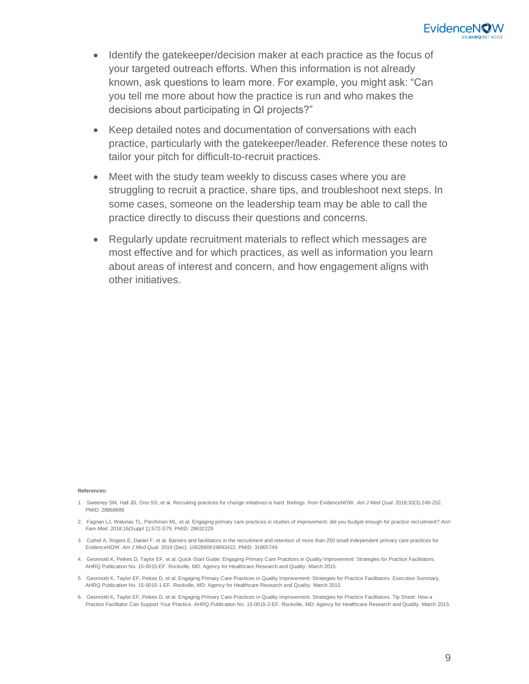

- Identify the gatekeeper/decision maker at each practice as the focus of your targeted outreach efforts. When this information is not already known, ask questions to learn more. For example, you might ask: "Can you tell me more about how the practice is run and who makes the decisions about participating in QI projects?"
- Keep detailed notes and documentation of conversations with each practice, particularly with the gatekeeper/leader. Reference these notes to tailor your pitch for difficult-to-recruit practices.
- Meet with the study team weekly to discuss cases where you are struggling to recruit a practice, share tips, and troubleshoot next steps. In some cases, someone on the leadership team may be able to call the practice directly to discuss their questions and concerns.
- Regularly update recruitment materials to reflect which messages are most effective and for which practices, as well as information you learn about areas of interest and concern, and how engagement aligns with other initiatives.

#### **References:**

- 1. Sweeney SM, Hall JD, Ono SS, et al. Recruiting practices for change initiatives is hard: findings from EvidenceNOW. *Am J Med Qual*. 2018;33(3):246-252. PMID: 28868889
- 2. Fagnan LJ, Walunas TL, Parchman ML, et al. Engaging primary care practices in studies of improvement: did you budget enough for practice recruitment? *Ann Fam Med*. 2018;16(Suppl 1):S72-S79. PMID: 29632229
- 3. Cuthel A, Rogers [E,](https://pubmed.ncbi.nlm.nih.gov/31865749/#affiliation-1) Daniel F, et al. Barriers and facilitators in the recruitment and retention of more than 250 small independent primary care practices for EvidenceNOW. *Am J Med Qual*. 2019 (Dec); 1062860619893422. PMID: 31865749
- 4. Geonnotti K, Peikes D, Taylor EF, et al. Quick-Start Guide: Engaging Primary Care Practices in Quality Improvement: Strategies for Practice Facilitators. AHRQ Publication No. 15-0015-EF. Rockville, MD: Agency for Healthcare Research and Quality. March 2015.
- 5. Geonnotti K, Taylor EF, Peikes D, et al. Engaging Primary Care Practices in Quality Improvement: Strategies for Practice Facilitators. Executive Summary. AHRQ Publication No. 15-0015-1-EF. Rockville, MD: Agency for Healthcare Research and Quality. March 2015.
- 6. Geonnotti K, Taylor EF, Peikes D, et al. Engaging Primary Care Practices in Quality Improvement: Strategies for Practice Facilitators. Tip Sheet: How a Practice Facilitator Can Support Your Practice. AHRQ Publication No. 15-0015-2-EF. Rockville, MD: Agency for Healthcare Research and Quality. March 2015.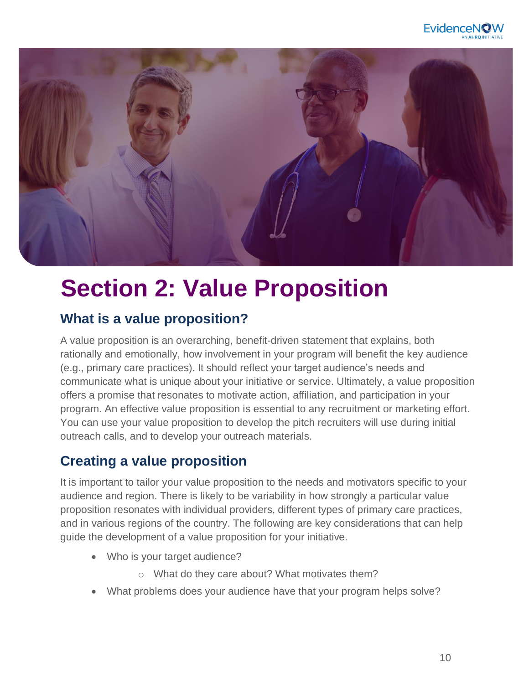

<span id="page-9-0"></span>

### **Section 2: Value Proposition**

#### **What is a value proposition?**

A value proposition is an overarching, benefit-driven statement that explains, both rationally and emotionally, how involvement in your program will benefit the key audience (e.g., primary care practices). It should reflect your target audience's needs and communicate what is unique about your initiative or service. Ultimately, a value proposition offers a promise that resonates to motivate action, affiliation, and participation in your program. An effective value proposition is essential to any recruitment or marketing effort. You can use your value proposition to develop the pitch recruiters will use during initial outreach calls, and to develop your outreach materials.

#### **Creating a value proposition**

It is important to tailor your value proposition to the needs and motivators specific to your audience and region. There is likely to be variability in how strongly a particular value proposition resonates with individual providers, different types of primary care practices, and in various regions of the country. The following are key considerations that can help guide the development of a value proposition for your initiative.

- Who is your target audience?
	- o What do they care about? What motivates them?
- What problems does your audience have that your program helps solve?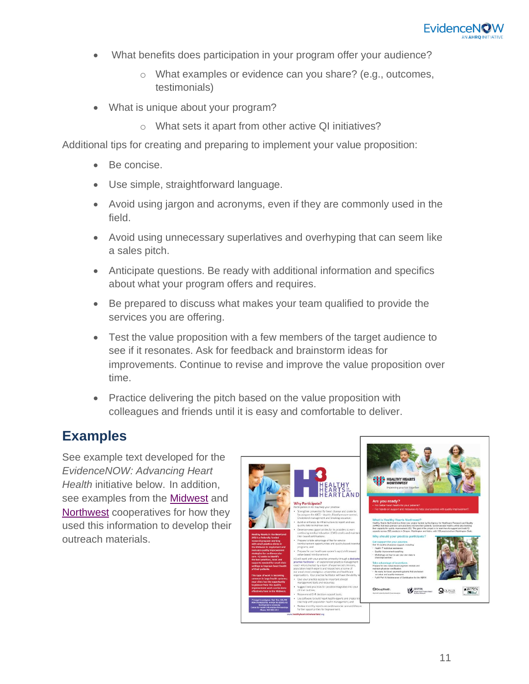

- What benefits does participation in your program offer your audience?
	- o What examples or evidence can you share? (e.g., outcomes, testimonials)
- What is unique about your program?
	- o What sets it apart from other active QI initiatives?

Additional tips for creating and preparing to implement your value proposition:

- Be concise.
- Use simple, straightforward language.
- Avoid using jargon and acronyms, even if they are commonly used in the field.
- Avoid using unnecessary superlatives and overhyping that can seem like a sales pitch.
- Anticipate questions. Be ready with additional information and specifics about what your program offers and requires.
- Be prepared to discuss what makes your team qualified to provide the services you are offering.
- Test the value proposition with a few members of the target audience to see if it resonates. Ask for feedback and brainstorm ideas for improvements. Continue to revise and improve the value proposition over time.
- Practice delivering the pitch based on the value proposition with colleagues and friends until it is easy and comfortable to deliver.

#### **Examples**

See example text developed for the *EvidenceNOW: Advancing Heart Health* initiative below. In addition, see examples from the [Midwest](https://www.ahrq.gov/sites/default/files/wysiwyg/evidencenow/results/research/value-proposition-flyer-mw.pdf) and [Northwest](https://www.ahrq.gov/sites/default/files/wysiwyg/evidencenow/results/research/recruitment-flyer-nw.pdf) cooperatives for how they used this information to develop their outreach materials.

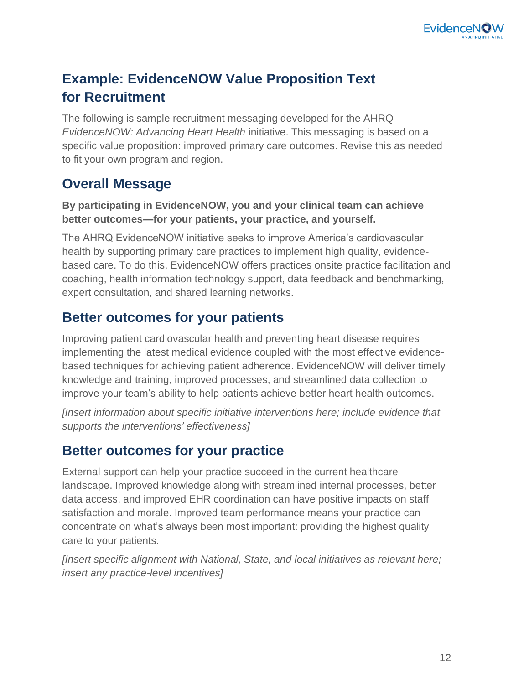

#### <span id="page-11-0"></span>**Example: EvidenceNOW Value Proposition Text for Recruitment**

The following is sample recruitment messaging developed for the AHRQ *EvidenceNOW: Advancing Heart Health* initiative. This messaging is based on a specific value proposition: improved primary care outcomes. Revise this as needed to fit your own program and region.

#### **Overall Message**

#### **By participating in EvidenceNOW, you and your clinical team can achieve better outcomes—for your patients, your practice, and yourself.**

The AHRQ EvidenceNOW initiative seeks to improve America's cardiovascular health by supporting primary care practices to implement high quality, evidencebased care. To do this, EvidenceNOW offers practices onsite practice facilitation and coaching, health information technology support, data feedback and benchmarking, expert consultation, and shared learning networks.

#### **Better outcomes for your patients**

Improving patient cardiovascular health and preventing heart disease requires implementing the latest medical evidence coupled with the most effective evidencebased techniques for achieving patient adherence. EvidenceNOW will deliver timely knowledge and training, improved processes, and streamlined data collection to improve your team's ability to help patients achieve better heart health outcomes.

*[Insert information about specific initiative interventions here; include evidence that supports the interventions' effectiveness]*

#### **Better outcomes for your practice**

External support can help your practice succeed in the current healthcare landscape. Improved knowledge along with streamlined internal processes, better data access, and improved EHR coordination can have positive impacts on staff satisfaction and morale. Improved team performance means your practice can concentrate on what's always been most important: providing the highest quality care to your patients.

*[Insert specific alignment with National, State, and local initiatives as relevant here; insert any practice-level incentives]*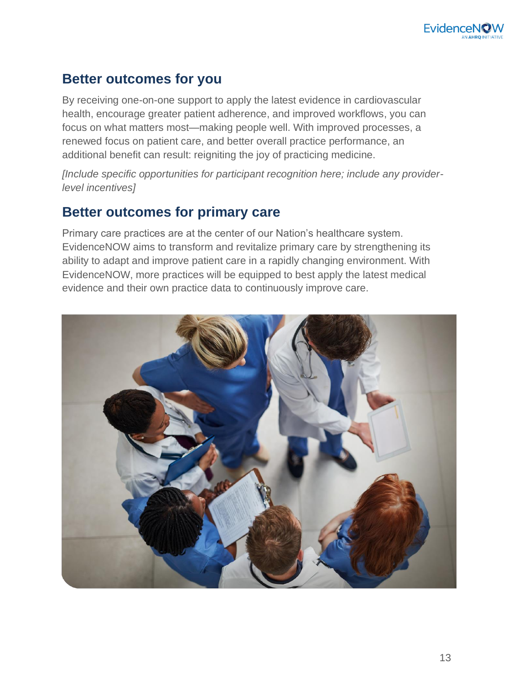#### **Better outcomes for you**

By receiving one-on-one support to apply the latest evidence in cardiovascular health, encourage greater patient adherence, and improved workflows, you can focus on what matters most—making people well. With improved processes, a renewed focus on patient care, and better overall practice performance, an additional benefit can result: reigniting the joy of practicing medicine.

*[Include specific opportunities for participant recognition here; include any providerlevel incentives]* 

#### **Better outcomes for primary care**

Primary care practices are at the center of our Nation's healthcare system. EvidenceNOW aims to transform and revitalize primary care by strengthening its ability to adapt and improve patient care in a rapidly changing environment. With EvidenceNOW, more practices will be equipped to best apply the latest medical evidence and their own practice data to continuously improve care.

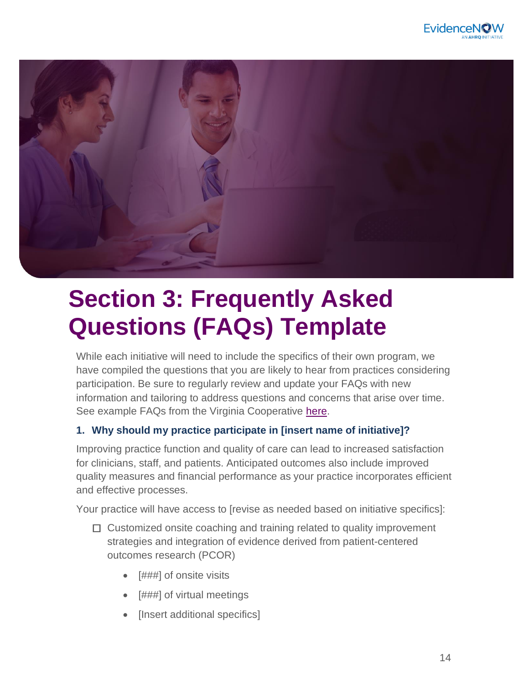

<span id="page-13-0"></span>

## **Section 3: Frequently Asked Questions (FAQs) Template**

While each initiative will need to include the specifics of their own program, we have compiled the questions that you are likely to hear from practices considering participation. Be sure to regularly review and update your FAQs with new information and tailoring to address questions and concerns that arise over time. See example FAQs from the Virginia Cooperative [here.](https://www.ahrq.gov/sites/default/files/wysiwyg/evidencenow/results/research/recruitment-flyer-va.pdf)

#### **1. Why should my practice participate in [insert name of initiative]?**

Improving practice function and quality of care can lead to increased satisfaction for clinicians, staff, and patients. Anticipated outcomes also include improved quality measures and financial performance as your practice incorporates efficient and effective processes.

Your practice will have access to [revise as needed based on initiative specifics]:

- $\Box$  Customized onsite coaching and training related to quality improvement strategies and integration of evidence derived from patient-centered outcomes research (PCOR)
	- [###] of onsite visits
	- [###] of virtual meetings
	- [Insert additional specifics]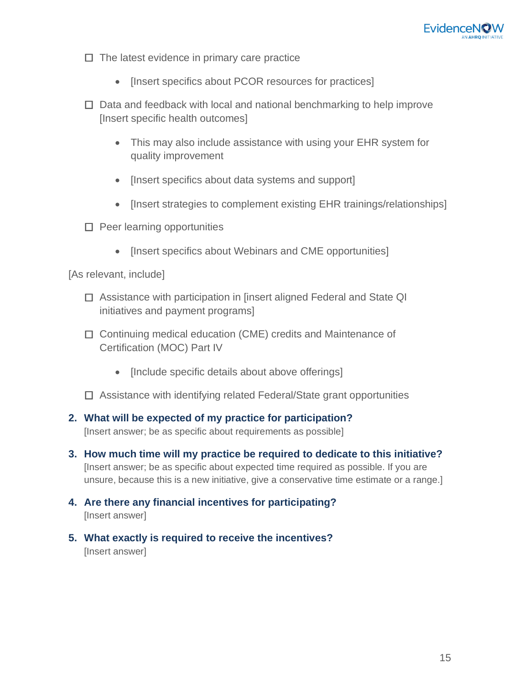

- $\Box$  The latest evidence in primary care practice
	- [Insert specifics about PCOR resources for practices]
- $\Box$  Data and feedback with local and national benchmarking to help improve [Insert specific health outcomes]
	- This may also include assistance with using your EHR system for quality improvement
	- [Insert specifics about data systems and support]
	- [Insert strategies to complement existing EHR trainings/relationships]
- $\square$  Peer learning opportunities
	- [Insert specifics about Webinars and CME opportunities]

[As relevant, include]

- □ Assistance with participation in [insert aligned Federal and State QI initiatives and payment programs]
- □ Continuing medical education (CME) credits and Maintenance of Certification (MOC) Part IV
	- [Include specific details about above offerings]
- $\Box$  Assistance with identifying related Federal/State grant opportunities
- **2. What will be expected of my practice for participation?**  [Insert answer; be as specific about requirements as possible]
- **3. How much time will my practice be required to dedicate to this initiative?** [Insert answer; be as specific about expected time required as possible. If you are unsure, because this is a new initiative, give a conservative time estimate or a range.]
- **4. Are there any financial incentives for participating?** [Insert answer]
- **5. What exactly is required to receive the incentives?**  [Insert answer]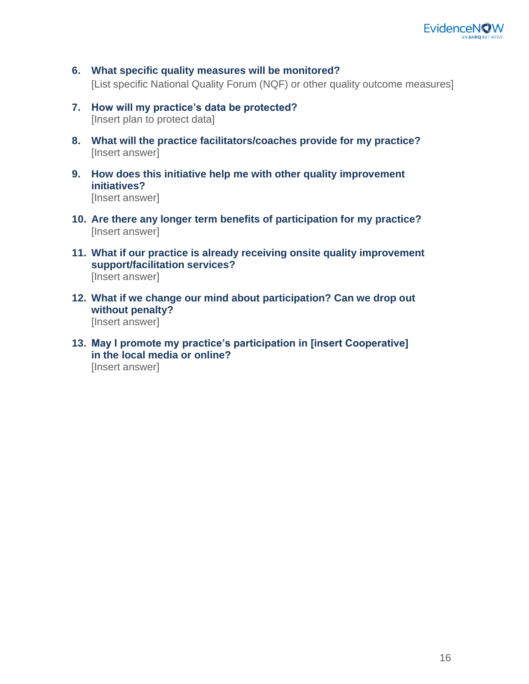

- **6. What specific quality measures will be monitored?** [List specific National Quality Forum (NQF) or other quality outcome measures]
- **7. How will my practice's data be protected?** [Insert plan to protect data]
- **8. What will the practice facilitators/coaches provide for my practice?** [Insert answer]
- **9. How does this initiative help me with other quality improvement initiatives?**  [Insert answer]
- **10. Are there any longer term benefits of participation for my practice?** [Insert answer]
- **11. What if our practice is already receiving onsite quality improvement support/facilitation services?** [Insert answer]
- **12. What if we change our mind about participation? Can we drop out without penalty?**  [Insert answer]
- **13. May I promote my practice's participation in [insert Cooperative] in the local media or online?** [Insert answer]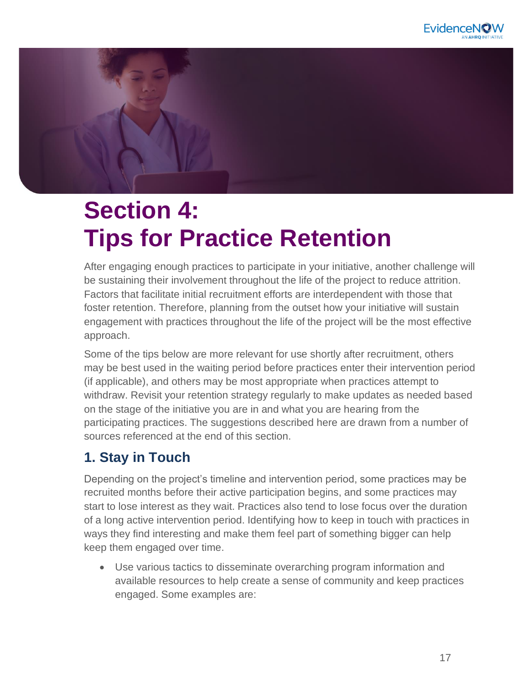<span id="page-16-0"></span>

## **Section 4: Tips for Practice Retention**

After engaging enough practices to participate in your initiative, another challenge will be sustaining their involvement throughout the life of the project to reduce attrition. Factors that facilitate initial recruitment efforts are interdependent with those that foster retention. Therefore, planning from the outset how your initiative will sustain engagement with practices throughout the life of the project will be the most effective approach.

Some of the tips below are more relevant for use shortly after recruitment, others may be best used in the waiting period before practices enter their intervention period (if applicable), and others may be most appropriate when practices attempt to withdraw. Revisit your retention strategy regularly to make updates as needed based on the stage of the initiative you are in and what you are hearing from the participating practices. The suggestions described here are drawn from a number of sources referenced at the end of this section.

#### **1. Stay in Touch**

Depending on the project's timeline and intervention period, some practices may be recruited months before their active participation begins, and some practices may start to lose interest as they wait. Practices also tend to lose focus over the duration of a long active intervention period. Identifying how to keep in touch with practices in ways they find interesting and make them feel part of something bigger can help keep them engaged over time.

• Use various tactics to disseminate overarching program information and available resources to help create a sense of community and keep practices engaged. Some examples are: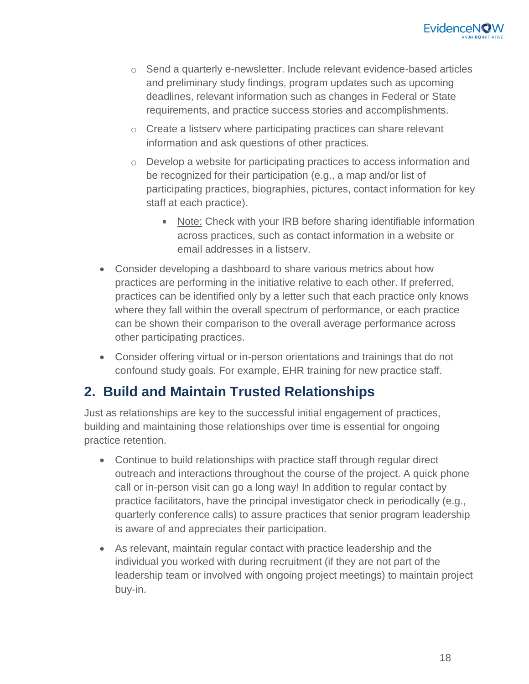

- o Send a quarterly e-newsletter. Include relevant evidence-based articles and preliminary study findings, program updates such as upcoming deadlines, relevant information such as changes in Federal or State requirements, and practice success stories and accomplishments.
- o Create a listserv where participating practices can share relevant information and ask questions of other practices.
- o Develop a website for participating practices to access information and be recognized for their participation (e.g., a map and/or list of participating practices, biographies, pictures, contact information for key staff at each practice).
	- Note: Check with your IRB before sharing identifiable information across practices, such as contact information in a website or email addresses in a listserv.
- Consider developing a dashboard to share various metrics about how practices are performing in the initiative relative to each other. If preferred, practices can be identified only by a letter such that each practice only knows where they fall within the overall spectrum of performance, or each practice can be shown their comparison to the overall average performance across other participating practices.
- Consider offering virtual or in-person orientations and trainings that do not confound study goals. For example, EHR training for new practice staff.

#### **2. Build and Maintain Trusted Relationships**

Just as relationships are key to the successful initial engagement of practices, building and maintaining those relationships over time is essential for ongoing practice retention.

- Continue to build relationships with practice staff through regular direct outreach and interactions throughout the course of the project. A quick phone call or in-person visit can go a long way! In addition to regular contact by practice facilitators, have the principal investigator check in periodically (e.g., quarterly conference calls) to assure practices that senior program leadership is aware of and appreciates their participation.
- As relevant, maintain regular contact with practice leadership and the individual you worked with during recruitment (if they are not part of the leadership team or involved with ongoing project meetings) to maintain project buy-in.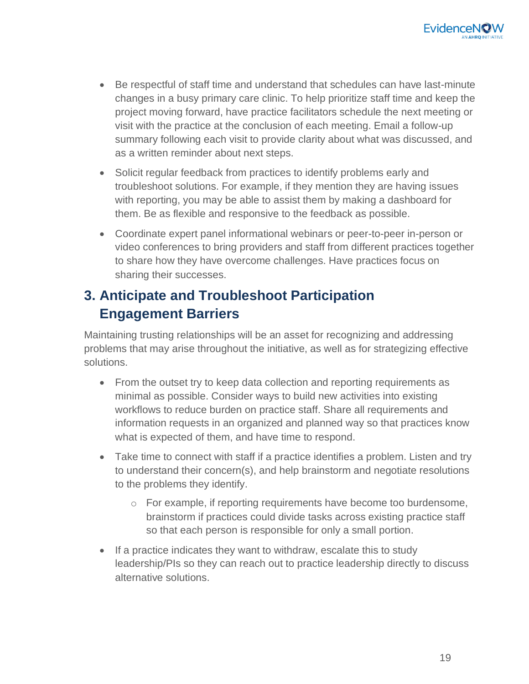- Be respectful of staff time and understand that schedules can have last-minute changes in a busy primary care clinic. To help prioritize staff time and keep the project moving forward, have practice facilitators schedule the next meeting or visit with the practice at the conclusion of each meeting. Email a follow-up summary following each visit to provide clarity about what was discussed, and as a written reminder about next steps.
- Solicit regular feedback from practices to identify problems early and troubleshoot solutions. For example, if they mention they are having issues with reporting, you may be able to assist them by making a dashboard for them. Be as flexible and responsive to the feedback as possible.
- Coordinate expert panel informational webinars or peer-to-peer in-person or video conferences to bring providers and staff from different practices together to share how they have overcome challenges. Have practices focus on sharing their successes.

#### **3. Anticipate and Troubleshoot Participation Engagement Barriers**

Maintaining trusting relationships will be an asset for recognizing and addressing problems that may arise throughout the initiative, as well as for strategizing effective solutions.

- From the outset try to keep data collection and reporting requirements as minimal as possible. Consider ways to build new activities into existing workflows to reduce burden on practice staff. Share all requirements and information requests in an organized and planned way so that practices know what is expected of them, and have time to respond.
- Take time to connect with staff if a practice identifies a problem. Listen and try to understand their concern(s), and help brainstorm and negotiate resolutions to the problems they identify.
	- o For example, if reporting requirements have become too burdensome, brainstorm if practices could divide tasks across existing practice staff so that each person is responsible for only a small portion.
- If a practice indicates they want to withdraw, escalate this to study leadership/PIs so they can reach out to practice leadership directly to discuss alternative solutions.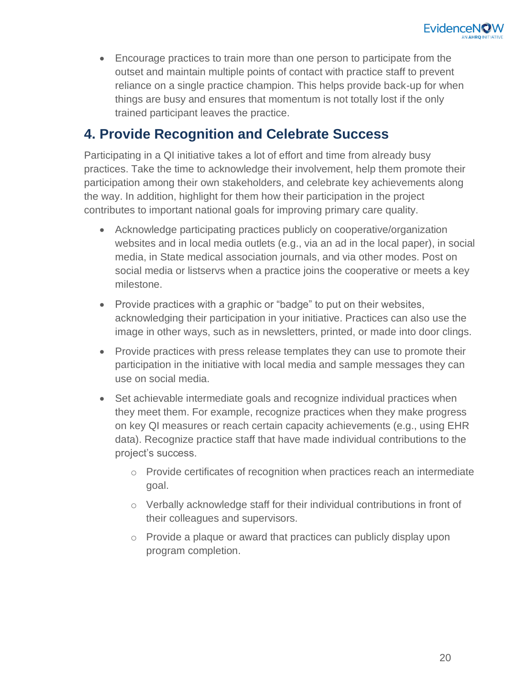

• Encourage practices to train more than one person to participate from the outset and maintain multiple points of contact with practice staff to prevent reliance on a single practice champion. This helps provide back-up for when things are busy and ensures that momentum is not totally lost if the only trained participant leaves the practice.

#### **4. Provide Recognition and Celebrate Success**

Participating in a QI initiative takes a lot of effort and time from already busy practices. Take the time to acknowledge their involvement, help them promote their participation among their own stakeholders, and celebrate key achievements along the way. In addition, highlight for them how their participation in the project contributes to important national goals for improving primary care quality.

- Acknowledge participating practices publicly on cooperative/organization websites and in local media outlets (e.g., via an ad in the local paper), in social media, in State medical association journals, and via other modes. Post on social media or listservs when a practice joins the cooperative or meets a key milestone.
- Provide practices with a graphic or "badge" to put on their websites, acknowledging their participation in your initiative. Practices can also use the image in other ways, such as in newsletters, printed, or made into door clings.
- Provide practices with press release templates they can use to promote their participation in the initiative with local media and sample messages they can use on social media.
- Set achievable intermediate goals and recognize individual practices when they meet them. For example, recognize practices when they make progress on key QI measures or reach certain capacity achievements (e.g., using EHR data). Recognize practice staff that have made individual contributions to the project's success.
	- o Provide certificates of recognition when practices reach an intermediate goal.
	- o Verbally acknowledge staff for their individual contributions in front of their colleagues and supervisors.
	- o Provide a plaque or award that practices can publicly display upon program completion.